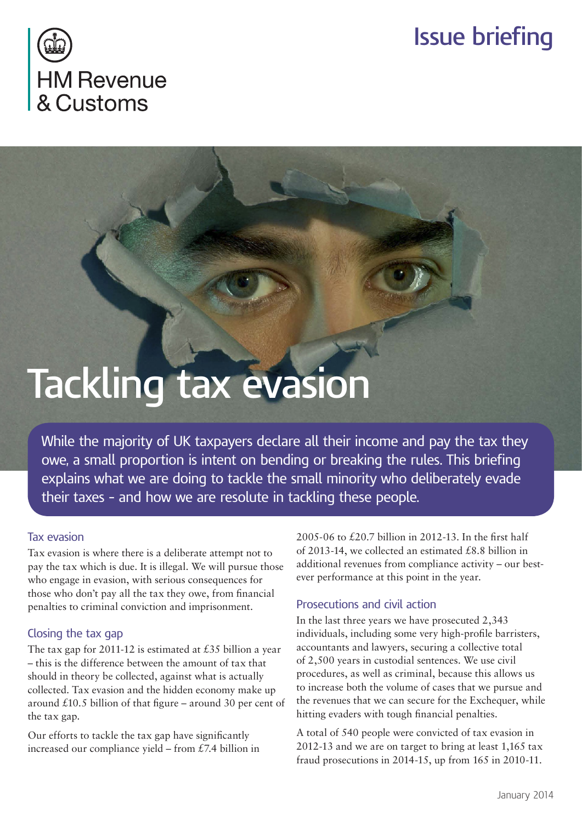# **Issue briefing**



# **Tackling tax evasion**

While the majority of UK taxpayers declare all their income and pay the tax they owe, a small proportion is intent on bending or breaking the rules. This briefing explains what we are doing to tackle the small minority who deliberately evade their taxes – and how we are resolute in tackling these people.

#### Tax evasion

Tax evasion is where there is a deliberate attempt not to pay the tax which is due. It is illegal. We will pursue those who engage in evasion, with serious consequences for those who don't pay all the tax they owe, from financial penalties to criminal conviction and imprisonment.

## Closing the tax gap

The tax gap for 2011-12 is estimated at £35 billion a year – this is the difference between the amount of tax that should in theory be collected, against what is actually collected. Tax evasion and the hidden economy make up around £10.5 billion of that figure – around 30 per cent of the tax gap.

Our efforts to tackle the tax gap have significantly increased our compliance yield – from £7.4 billion in

2005-06 to £20.7 billion in 2012-13. In the first half of 2013-14, we collected an estimated £8.8 billion in additional revenues from compliance activity – our bestever performance at this point in the year.

## Prosecutions and civil action

In the last three years we have prosecuted 2,343 individuals, including some very high-profile barristers, accountants and lawyers, securing a collective total of 2,500 years in custodial sentences. We use civil procedures, as well as criminal, because this allows us to increase both the volume of cases that we pursue and the revenues that we can secure for the Exchequer, while hitting evaders with tough financial penalties.

A total of 540 people were convicted of tax evasion in 2012-13 and we are on target to bring at least 1,165 tax fraud prosecutions in 2014-15, up from 165 in 2010-11.